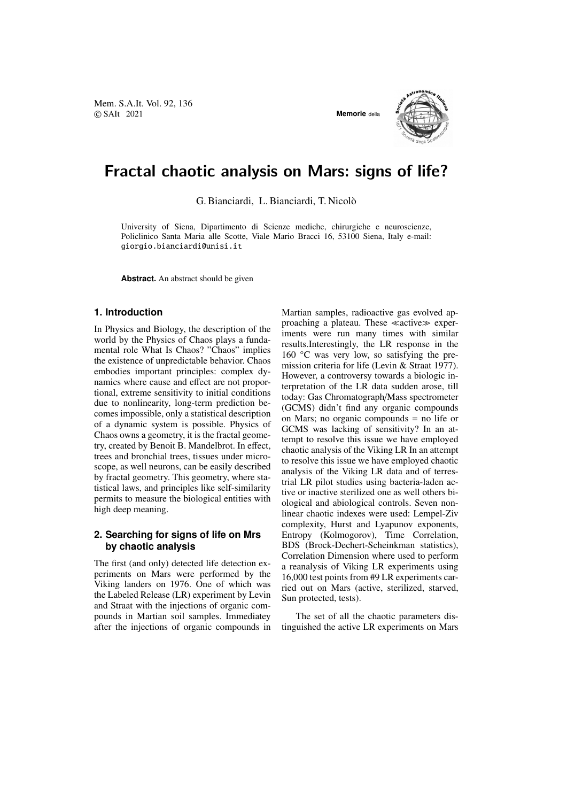Mem. S.A.It. Vol. 92, 136 © SAIt 2021 **Memorie** della



# Fractal chaotic analysis on Mars: signs of life?

G. Bianciardi, L. Bianciardi, T. Nicolo`

University of Siena, Dipartimento di Scienze mediche, chirurgiche e neuroscienze, Policlinico Santa Maria alle Scotte, Viale Mario Bracci 16, 53100 Siena, Italy e-mail: giorgio.bianciardi@unisi.it

**Abstract.** An abstract should be given

#### **1. Introduction**

In Physics and Biology, the description of the world by the Physics of Chaos plays a fundamental role What Is Chaos? "Chaos" implies the existence of unpredictable behavior. Chaos embodies important principles: complex dynamics where cause and effect are not proportional, extreme sensitivity to initial conditions due to nonlinearity, long-term prediction becomes impossible, only a statistical description of a dynamic system is possible. Physics of Chaos owns a geometry, it is the fractal geometry, created by Benoit B. Mandelbrot. In effect, trees and bronchial trees, tissues under microscope, as well neurons, can be easily described by fractal geometry. This geometry, where statistical laws, and principles like self-similarity permits to measure the biological entities with high deep meaning.

## **2. Searching for signs of life on Mrs by chaotic analysis**

The first (and only) detected life detection experiments on Mars were performed by the Viking landers on 1976. One of which was the Labeled Release (LR) experiment by Levin and Straat with the injections of organic compounds in Martian soil samples. Immediatey after the injections of organic compounds in Martian samples, radioactive gas evolved approaching a plateau. These  $\ll$  active  $\gg$  experiments were run many times with similar results.Interestingly, the LR response in the 160 °C was very low, so satisfying the premission criteria for life (Levin & Straat 1977). However, a controversy towards a biologic interpretation of the LR data sudden arose, till today: Gas Chromatograph/Mass spectrometer (GCMS) didn't find any organic compounds on Mars; no organic compounds = no life or GCMS was lacking of sensitivity? In an attempt to resolve this issue we have employed chaotic analysis of the Viking LR In an attempt to resolve this issue we have employed chaotic analysis of the Viking LR data and of terrestrial LR pilot studies using bacteria-laden active or inactive sterilized one as well others biological and abiological controls. Seven nonlinear chaotic indexes were used: Lempel-Ziv complexity, Hurst and Lyapunov exponents, Entropy (Kolmogorov), Time Correlation, BDS (Brock-Dechert-Scheinkman statistics), Correlation Dimension where used to perform a reanalysis of Viking LR experiments using 16,000 test points from #9 LR experiments carried out on Mars (active, sterilized, starved, Sun protected, tests).

The set of all the chaotic parameters distinguished the active LR experiments on Mars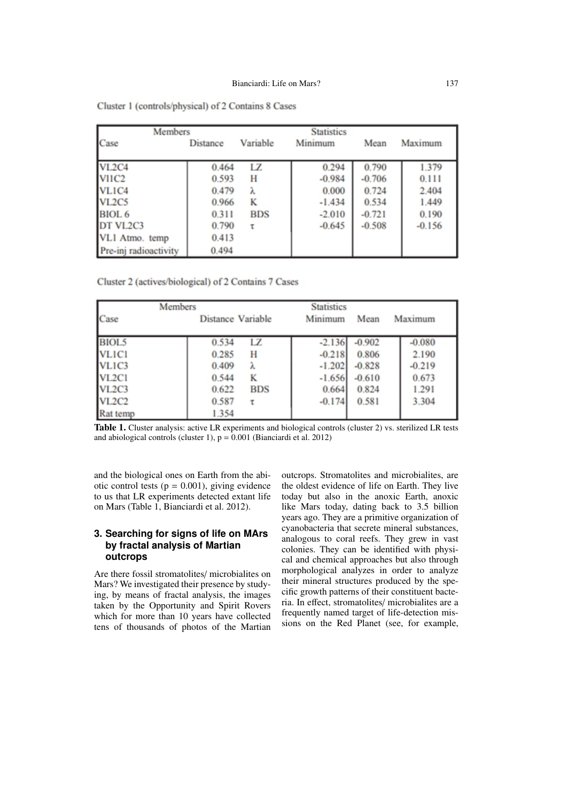| Members                           |                 |            | <b>Statistics</b> |          |          |
|-----------------------------------|-----------------|------------|-------------------|----------|----------|
| Case                              | <b>Distance</b> | Variable   | Minimum           | Mean     | Maximum  |
| VL <sub>2</sub> C <sub>4</sub>    | 0.464           | LZ         | 0.294             | 0.790    | 1.379    |
| VIIC <sub>2</sub>                 | 0.593           | H          | $-0.984$          | $-0.706$ | 0.111    |
| VL1C4                             | 0.479           | λ          | 0.000             | 0.724    | 2.404    |
| VL <sub>2</sub> C <sub>5</sub>    | 0.966           | K          | $-1.434$          | 0.534    | 1.449    |
| BIOL <sub>6</sub>                 | 0.311           | <b>BDS</b> | $-2.010$          | $-0.721$ | 0.190    |
| DT VL <sub>2</sub> C <sub>3</sub> | 0.790           | τ          | $-0.645$          | $-0.508$ | $-0.156$ |
| VL1 Atmo. temp                    | 0.413           |            |                   |          |          |
| Pre-inj radioactivity             | 0.494           |            |                   |          |          |

Cluster 1 (controls/physical) of 2 Contains 8 Cases

Cluster 2 (actives/biological) of 2 Contains 7 Cases

|                                | Members             | <b>Statistics</b> |          |          |
|--------------------------------|---------------------|-------------------|----------|----------|
| Case                           | Distance Variable   | Minimum           | Mean     | Maximum  |
| BIOL5                          | LZ.<br>0.534        | $-2.136$          | $-0.902$ | $-0.080$ |
| VL1C1                          | 0.285<br>Н          | $-0.218$          | 0.806    | 2.190    |
| VL1C3                          | 0.409<br>λ          | $-1.202$          | $-0.828$ | $-0.219$ |
| VL <sub>2</sub> C1             | 0.544<br>К          | $-1.656$          | $-0.610$ | 0.673    |
| VL <sub>2</sub> C <sub>3</sub> | 0.622<br><b>BDS</b> | 0.664             | 0.824    | 1.291    |
| <b>VL2C2</b>                   | 0.587<br>τ          | $-0.174$          | 0.581    | 3.304    |
| Rat temp                       | 1.354               |                   |          |          |

Table 1. Cluster analysis: active LR experiments and biological controls (cluster 2) vs. sterilized LR tests and abiological controls (cluster 1),  $p = 0.001$  (Bianciardi et al. 2012)

and the biological ones on Earth from the abiotic control tests ( $p = 0.001$ ), giving evidence to us that LR experiments detected extant life on Mars (Table 1, Bianciardi et al. 2012).

### **3. Searching for signs of life on MArs by fractal analysis of Martian outcrops**

Are there fossil stromatolites/ microbialites on Mars? We investigated their presence by studying, by means of fractal analysis, the images taken by the Opportunity and Spirit Rovers which for more than 10 years have collected tens of thousands of photos of the Martian outcrops. Stromatolites and microbialites, are the oldest evidence of life on Earth. They live today but also in the anoxic Earth, anoxic like Mars today, dating back to 3.5 billion years ago. They are a primitive organization of cyanobacteria that secrete mineral substances, analogous to coral reefs. They grew in vast colonies. They can be identified with physical and chemical approaches but also through morphological analyzes in order to analyze their mineral structures produced by the specific growth patterns of their constituent bacteria. In effect, stromatolites/ microbialites are a frequently named target of life-detection missions on the Red Planet (see, for example,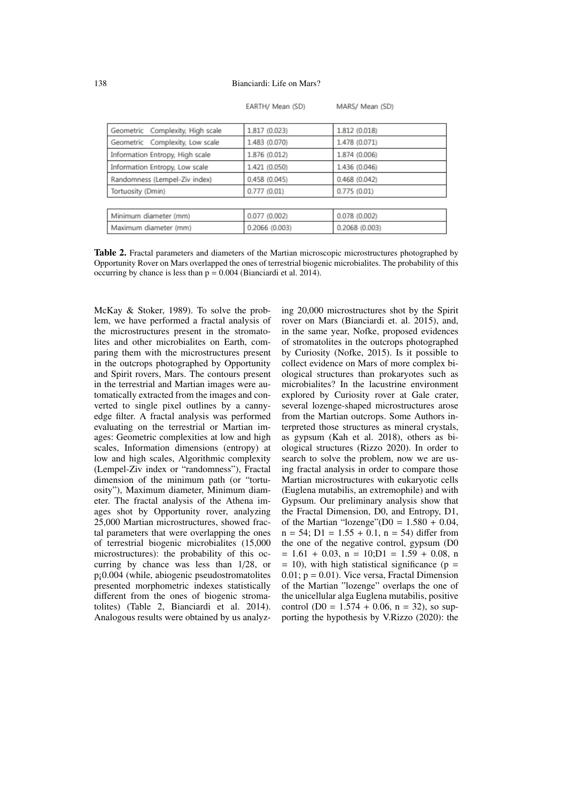| EARTH/ Mean (SD) |  |  |
|------------------|--|--|
|------------------|--|--|

MARS/ Mean (SD)

| Geometric Complexity, High scale | 1.817 (0.023) | 1.812 (0.018) |  |
|----------------------------------|---------------|---------------|--|
| Geometric Complexity, Low scale  | 1.483 (0.070) | 1.478 (0.071) |  |
| Information Entropy, High scale  | 1.876 (0.012) | 1.874 (0.006) |  |
| Information Entropy, Low scale   | 1.421 (0.050) | 1.436 (0.046) |  |
| Randomness (Lempel-Ziv index)    | 0.458(0.045)  | 0.468(0.042)  |  |
| Tortuosity (Dmin)                | 0.777(0.01)   | 0.775(0.01)   |  |
|                                  |               |               |  |
| Minimum diameter (mm)            | 0.077(0.002)  | 0.078(0.002)  |  |
| Maximum diameter (mm)            | 0.2066(0.003) | 0.2068(0.003) |  |
|                                  |               |               |  |

Table 2. Fractal parameters and diameters of the Martian microscopic microstructures photographed by Opportunity Rover on Mars overlapped the ones of terrestrial biogenic microbialites. The probability of this occurring by chance is less than  $p = 0.004$  (Bianciardi et al. 2014).

McKay & Stoker, 1989). To solve the problem, we have performed a fractal analysis of the microstructures present in the stromatolites and other microbialites on Earth, comparing them with the microstructures present in the outcrops photographed by Opportunity and Spirit rovers, Mars. The contours present in the terrestrial and Martian images were automatically extracted from the images and converted to single pixel outlines by a cannyedge filter. A fractal analysis was performed evaluating on the terrestrial or Martian images: Geometric complexities at low and high scales, Information dimensions (entropy) at low and high scales, Algorithmic complexity (Lempel-Ziv index or "randomness"), Fractal dimension of the minimum path (or "tortuosity"), Maximum diameter, Minimum diameter. The fractal analysis of the Athena images shot by Opportunity rover, analyzing 25,000 Martian microstructures, showed fractal parameters that were overlapping the ones of terrestrial biogenic microbialites (15,000 microstructures): the probability of this occurring by chance was less than 1/28, or p¡0.004 (while, abiogenic pseudostromatolites presented morphometric indexes statistically different from the ones of biogenic stromatolites) (Table 2, Bianciardi et al. 2014). Analogous results were obtained by us analyzing 20,000 microstructures shot by the Spirit rover on Mars (Bianciardi et. al. 2015), and, in the same year, Nofke, proposed evidences of stromatolites in the outcrops photographed by Curiosity (Nofke, 2015). Is it possible to collect evidence on Mars of more complex biological structures than prokaryotes such as microbialites? In the lacustrine environment explored by Curiosity rover at Gale crater, several lozenge-shaped microstructures arose from the Martian outcrops. Some Authors interpreted those structures as mineral crystals, as gypsum (Kah et al. 2018), others as biological structures (Rizzo 2020). In order to search to solve the problem, now we are using fractal analysis in order to compare those Martian microstructures with eukaryotic cells (Euglena mutabilis, an extremophile) and with Gypsum. Our preliminary analysis show that the Fractal Dimension, D0, and Entropy, D1, of the Martian "lozenge"( $D0 = 1.580 + 0.04$ ,  $n = 54$ ;  $D1 = 1.55 + 0.1$ ,  $n = 54$ ) differ from the one of the negative control, gypsum (D0  $= 1.61 + 0.03$ ,  $n = 10$ ;  $D1 = 1.59 + 0.08$ , n  $= 10$ ), with high statistical significance (p  $=$  $0.01$ ;  $p = 0.01$ ). Vice versa, Fractal Dimension of the Martian "lozenge" overlaps the one of the unicellular alga Euglena mutabilis, positive control ( $D0 = 1.574 + 0.06$ ,  $n = 32$ ), so supporting the hypothesis by V.Rizzo (2020): the